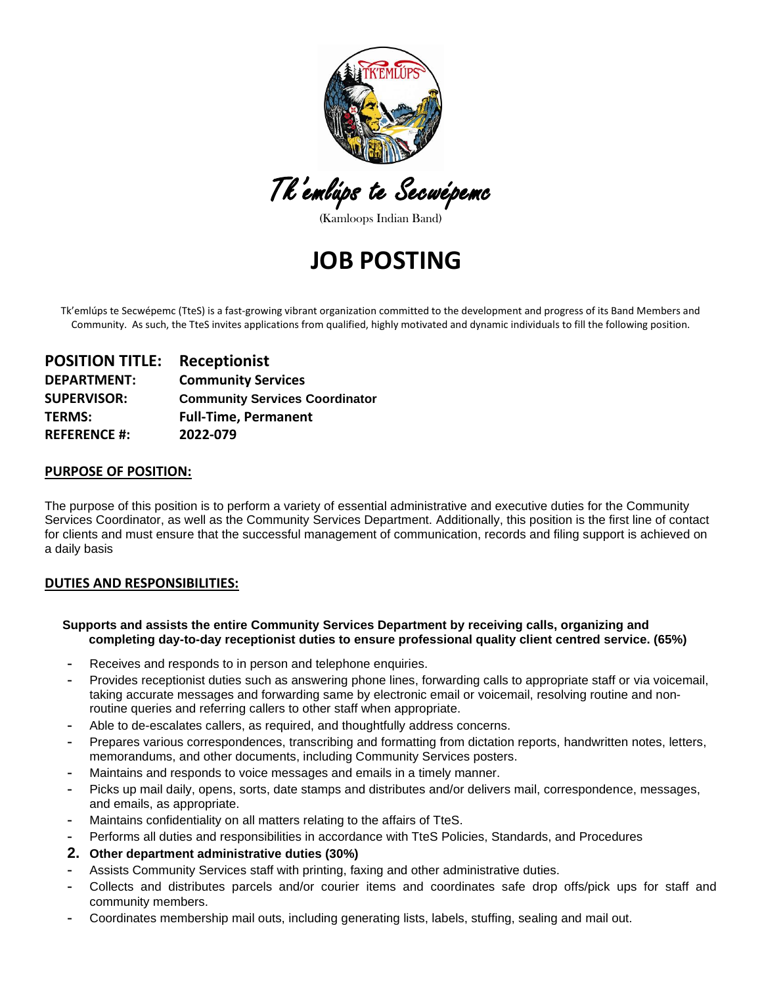

Tk'emlúps te Secwépemc

(Kamloops Indian Band)

# **JOB POSTING**

Tk'emlúps te Secwépemc (TteS) is a fast-growing vibrant organization committed to the development and progress of its Band Members and Community. As such, the TteS invites applications from qualified, highly motivated and dynamic individuals to fill the following position.

| <b>POSITION TITLE:</b> | <b>Receptionist</b>                   |
|------------------------|---------------------------------------|
| <b>DEPARTMENT:</b>     | <b>Community Services</b>             |
| <b>SUPERVISOR:</b>     | <b>Community Services Coordinator</b> |
| <b>TERMS:</b>          | <b>Full-Time, Permanent</b>           |
| <b>REFERENCE #:</b>    | 2022-079                              |

## **PURPOSE OF POSITION:**

The purpose of this position is to perform a variety of essential administrative and executive duties for the Community Services Coordinator, as well as the Community Services Department. Additionally, this position is the first line of contact for clients and must ensure that the successful management of communication, records and filing support is achieved on a daily basis

#### **DUTIES AND RESPONSIBILITIES:**

#### **Supports and assists the entire Community Services Department by receiving calls, organizing and completing day-to-day receptionist duties to ensure professional quality client centred service. (65%)**

- **-** Receives and responds to in person and telephone enquiries.
- **-** Provides receptionist duties such as answering phone lines, forwarding calls to appropriate staff or via voicemail, taking accurate messages and forwarding same by electronic email or voicemail, resolving routine and nonroutine queries and referring callers to other staff when appropriate.
- **-** Able to de-escalates callers, as required, and thoughtfully address concerns.
- **-** Prepares various correspondences, transcribing and formatting from dictation reports, handwritten notes, letters, memorandums, and other documents, including Community Services posters.
- **-** Maintains and responds to voice messages and emails in a timely manner.
- **-** Picks up mail daily, opens, sorts, date stamps and distributes and/or delivers mail, correspondence, messages, and emails, as appropriate.
- **-** Maintains confidentiality on all matters relating to the affairs of TteS.
- **-** Performs all duties and responsibilities in accordance with TteS Policies, Standards, and Procedures
- **2. Other department administrative duties (30%)**
- **-** Assists Community Services staff with printing, faxing and other administrative duties.
- **-** Collects and distributes parcels and/or courier items and coordinates safe drop offs/pick ups for staff and community members.
- **-** Coordinates membership mail outs, including generating lists, labels, stuffing, sealing and mail out.